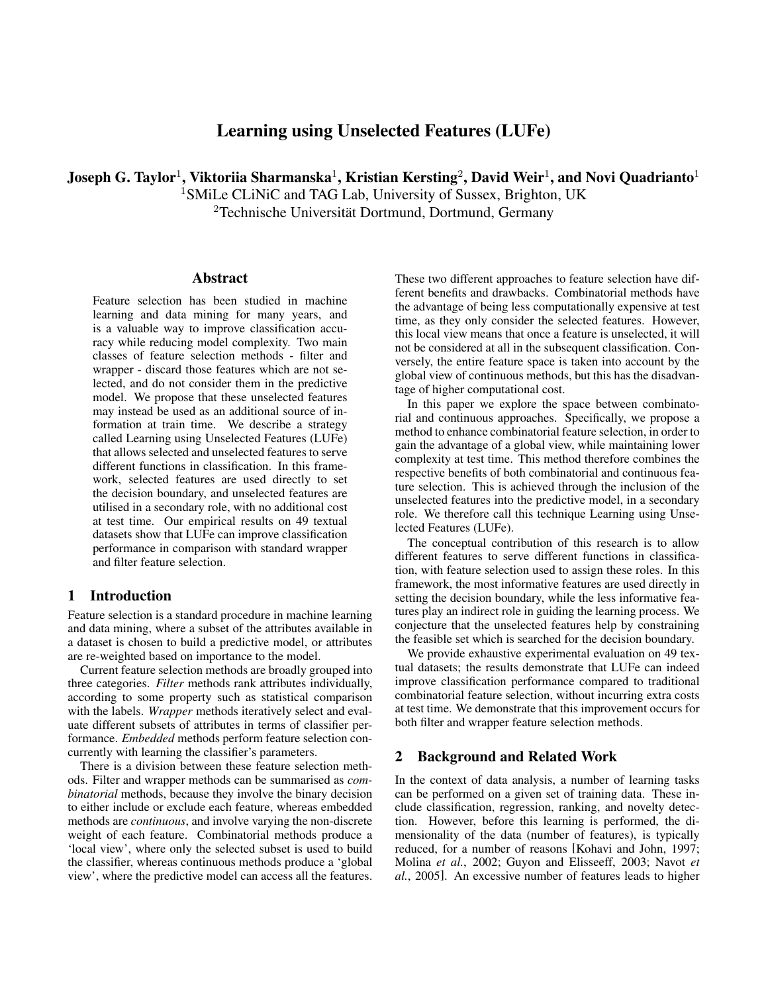# Learning using Unselected Features (LUFe)

Joseph G. Taylor $^1$ , Viktoriia Sharmanska $^1$ , Kristian Kersting $^2$ , David Weir $^1$ , and Novi Quadrianto $^1$ 

<sup>1</sup>SMiLe CLiNiC and TAG Lab, University of Sussex, Brighton, UK <sup>2</sup>Technische Universität Dortmund, Dortmund, Germany

#### **Abstract**

Feature selection has been studied in machine learning and data mining for many years, and is a valuable way to improve classification accuracy while reducing model complexity. Two main classes of feature selection methods - filter and wrapper - discard those features which are not selected, and do not consider them in the predictive model. We propose that these unselected features may instead be used as an additional source of information at train time. We describe a strategy called Learning using Unselected Features (LUFe) that allows selected and unselected features to serve different functions in classification. In this framework, selected features are used directly to set the decision boundary, and unselected features are utilised in a secondary role, with no additional cost at test time. Our empirical results on 49 textual datasets show that LUFe can improve classification performance in comparison with standard wrapper and filter feature selection.

### 1 Introduction

Feature selection is a standard procedure in machine learning and data mining, where a subset of the attributes available in a dataset is chosen to build a predictive model, or attributes are re-weighted based on importance to the model.

Current feature selection methods are broadly grouped into three categories. *Filter* methods rank attributes individually, according to some property such as statistical comparison with the labels. *Wrapper* methods iteratively select and evaluate different subsets of attributes in terms of classifier performance. *Embedded* methods perform feature selection concurrently with learning the classifier's parameters.

There is a division between these feature selection methods. Filter and wrapper methods can be summarised as *combinatorial* methods, because they involve the binary decision to either include or exclude each feature, whereas embedded methods are *continuous*, and involve varying the non-discrete weight of each feature. Combinatorial methods produce a 'local view', where only the selected subset is used to build the classifier, whereas continuous methods produce a 'global view', where the predictive model can access all the features. These two different approaches to feature selection have different benefits and drawbacks. Combinatorial methods have the advantage of being less computationally expensive at test time, as they only consider the selected features. However, this local view means that once a feature is unselected, it will not be considered at all in the subsequent classification. Conversely, the entire feature space is taken into account by the global view of continuous methods, but this has the disadvantage of higher computational cost.

In this paper we explore the space between combinatorial and continuous approaches. Specifically, we propose a method to enhance combinatorial feature selection, in order to gain the advantage of a global view, while maintaining lower complexity at test time. This method therefore combines the respective benefits of both combinatorial and continuous feature selection. This is achieved through the inclusion of the unselected features into the predictive model, in a secondary role. We therefore call this technique Learning using Unselected Features (LUFe).

The conceptual contribution of this research is to allow different features to serve different functions in classification, with feature selection used to assign these roles. In this framework, the most informative features are used directly in setting the decision boundary, while the less informative features play an indirect role in guiding the learning process. We conjecture that the unselected features help by constraining the feasible set which is searched for the decision boundary.

We provide exhaustive experimental evaluation on 49 textual datasets; the results demonstrate that LUFe can indeed improve classification performance compared to traditional combinatorial feature selection, without incurring extra costs at test time. We demonstrate that this improvement occurs for both filter and wrapper feature selection methods.

#### 2 Background and Related Work

In the context of data analysis, a number of learning tasks can be performed on a given set of training data. These include classification, regression, ranking, and novelty detection. However, before this learning is performed, the dimensionality of the data (number of features), is typically reduced, for a number of reasons [Kohavi and John, 1997; Molina *et al.*, 2002; Guyon and Elisseeff, 2003; Navot *et al.*, 2005]. An excessive number of features leads to higher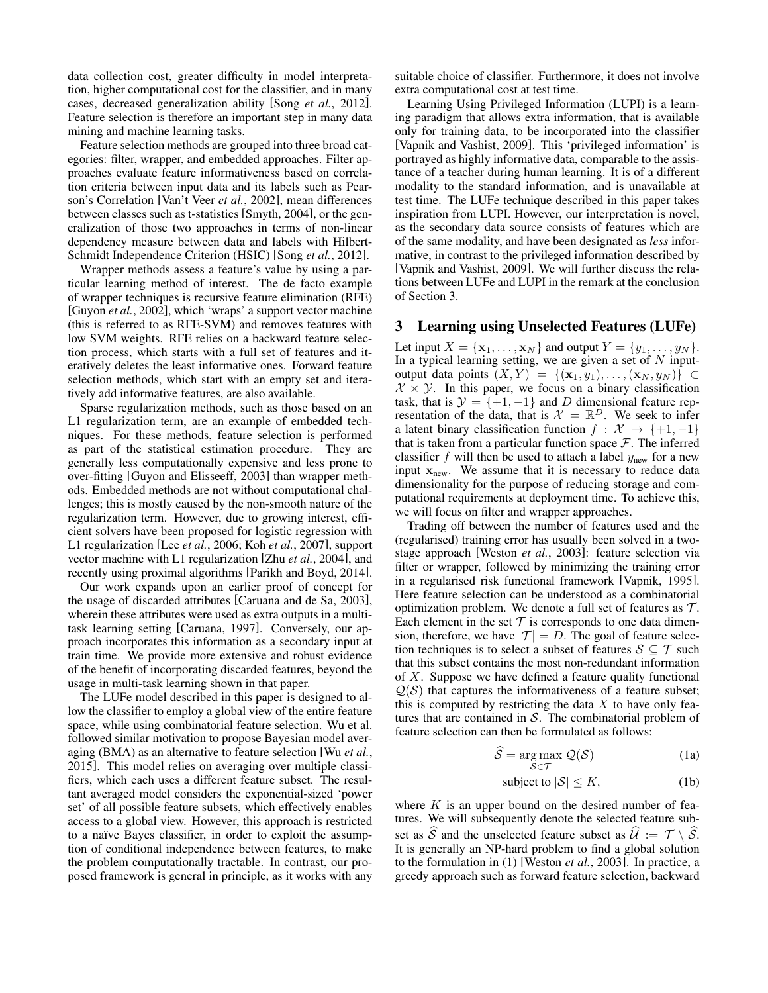data collection cost, greater difficulty in model interpretation, higher computational cost for the classifier, and in many cases, decreased generalization ability [Song *et al.*, 2012]. Feature selection is therefore an important step in many data mining and machine learning tasks.

Feature selection methods are grouped into three broad categories: filter, wrapper, and embedded approaches. Filter approaches evaluate feature informativeness based on correlation criteria between input data and its labels such as Pearson's Correlation [Van't Veer *et al.*, 2002], mean differences between classes such as t-statistics [Smyth, 2004], or the generalization of those two approaches in terms of non-linear dependency measure between data and labels with Hilbert-Schmidt Independence Criterion (HSIC) [Song *et al.*, 2012].

Wrapper methods assess a feature's value by using a particular learning method of interest. The de facto example of wrapper techniques is recursive feature elimination (RFE) [Guyon *et al.*, 2002], which 'wraps' a support vector machine (this is referred to as RFE-SVM) and removes features with low SVM weights. RFE relies on a backward feature selection process, which starts with a full set of features and iteratively deletes the least informative ones. Forward feature selection methods, which start with an empty set and iteratively add informative features, are also available.

Sparse regularization methods, such as those based on an L1 regularization term, are an example of embedded techniques. For these methods, feature selection is performed as part of the statistical estimation procedure. They are generally less computationally expensive and less prone to over-fitting [Guyon and Elisseeff, 2003] than wrapper methods. Embedded methods are not without computational challenges; this is mostly caused by the non-smooth nature of the regularization term. However, due to growing interest, efficient solvers have been proposed for logistic regression with L1 regularization [Lee *et al.*, 2006; Koh *et al.*, 2007], support vector machine with L1 regularization [Zhu *et al.*, 2004], and recently using proximal algorithms [Parikh and Boyd, 2014].

Our work expands upon an earlier proof of concept for the usage of discarded attributes [Caruana and de Sa, 2003], wherein these attributes were used as extra outputs in a multitask learning setting [Caruana, 1997]. Conversely, our approach incorporates this information as a secondary input at train time. We provide more extensive and robust evidence of the benefit of incorporating discarded features, beyond the usage in multi-task learning shown in that paper.

The LUFe model described in this paper is designed to allow the classifier to employ a global view of the entire feature space, while using combinatorial feature selection. Wu et al. followed similar motivation to propose Bayesian model averaging (BMA) as an alternative to feature selection [Wu *et al.*, 2015]. This model relies on averaging over multiple classifiers, which each uses a different feature subset. The resultant averaged model considers the exponential-sized 'power set' of all possible feature subsets, which effectively enables access to a global view. However, this approach is restricted to a naïve Bayes classifier, in order to exploit the assumption of conditional independence between features, to make the problem computationally tractable. In contrast, our proposed framework is general in principle, as it works with any suitable choice of classifier. Furthermore, it does not involve extra computational cost at test time.

Learning Using Privileged Information (LUPI) is a learning paradigm that allows extra information, that is available only for training data, to be incorporated into the classifier [Vapnik and Vashist, 2009]. This 'privileged information' is portrayed as highly informative data, comparable to the assistance of a teacher during human learning. It is of a different modality to the standard information, and is unavailable at test time. The LUFe technique described in this paper takes inspiration from LUPI. However, our interpretation is novel, as the secondary data source consists of features which are of the same modality, and have been designated as *less* informative, in contrast to the privileged information described by [Vapnik and Vashist, 2009]. We will further discuss the relations between LUFe and LUPI in the remark at the conclusion of Section 3.

#### 3 Learning using Unselected Features (LUFe)

Let input  $X = {\mathbf{x}_1, \dots, \mathbf{x}_N}$  and output  $Y = {y_1, \dots, y_N}$ . In a typical learning setting, we are given a set of  $N$  inputoutput data points  $(X, Y) = \{(\mathbf{x}_1, y_1), \ldots, (\mathbf{x}_N, y_N)\}\subset$  $X \times Y$ . In this paper, we focus on a binary classification task, that is  $\mathcal{Y} = \{+1, -1\}$  and D dimensional feature representation of the data, that is  $\mathcal{X} = \mathbb{R}^D$ . We seek to infer a latent binary classification function  $f : \mathcal{X} \to \{+1, -1\}$ that is taken from a particular function space  $\mathcal F$ . The inferred classifier f will then be used to attach a label  $y_{\text{new}}$  for a new input  $x<sub>new</sub>$ . We assume that it is necessary to reduce data dimensionality for the purpose of reducing storage and computational requirements at deployment time. To achieve this, we will focus on filter and wrapper approaches.

Trading off between the number of features used and the (regularised) training error has usually been solved in a twostage approach [Weston *et al.*, 2003]: feature selection via filter or wrapper, followed by minimizing the training error in a regularised risk functional framework [Vapnik, 1995]. Here feature selection can be understood as a combinatorial optimization problem. We denote a full set of features as  $\mathcal{T}$ . Each element in the set  $T$  is corresponds to one data dimension, therefore, we have  $|\mathcal{T}| = D$ . The goal of feature selection techniques is to select a subset of features  $S \subseteq T$  such that this subset contains the most non-redundant information of X. Suppose we have defined a feature quality functional  $\mathcal{Q}(\mathcal{S})$  that captures the informativeness of a feature subset; this is computed by restricting the data  $X$  to have only features that are contained in  $S$ . The combinatorial problem of feature selection can then be formulated as follows:

$$
\widehat{S} = \underset{S \in \mathcal{T}}{\arg \max} \ \mathcal{Q}(S) \tag{1a}
$$

$$
subject to |\mathcal{S}| \le K,\tag{1b}
$$

where  $K$  is an upper bound on the desired number of features. We will subsequently denote the selected feature subset as  $\widehat{S}$  and the unselected feature subset as  $\widehat{U} := \mathcal{T} \setminus \widehat{S}$ . It is generally an NP-hard problem to find a global solution to the formulation in (1) [Weston *et al.*, 2003]. In practice, a greedy approach such as forward feature selection, backward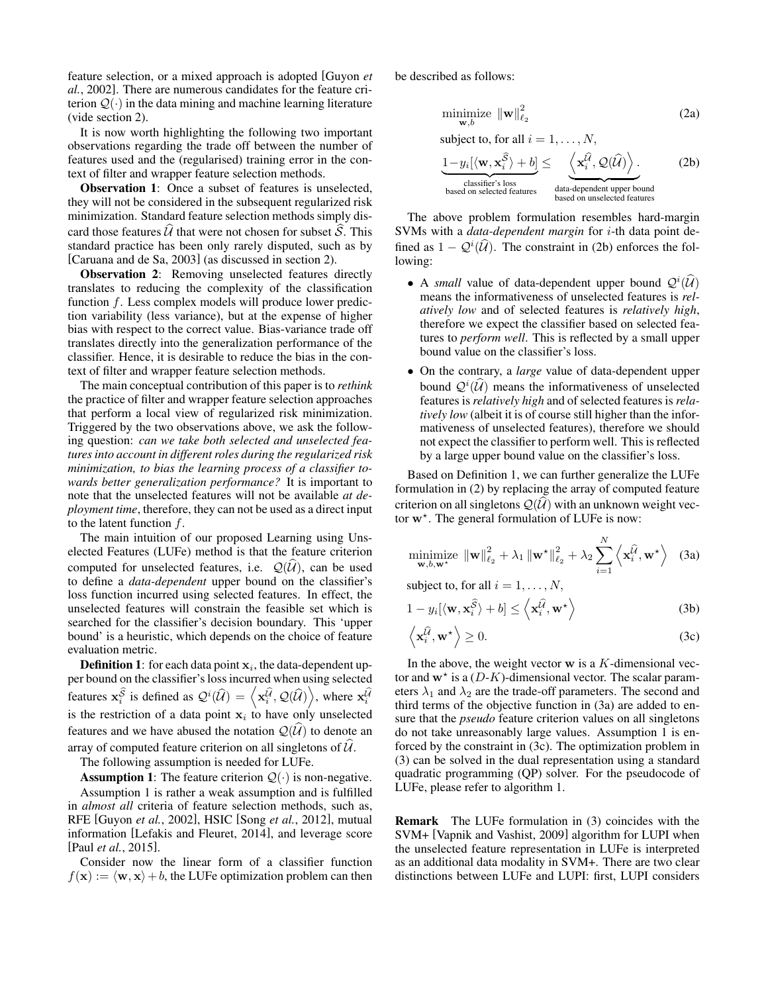feature selection, or a mixed approach is adopted [Guyon *et al.*, 2002]. There are numerous candidates for the feature criterion  $Q(\cdot)$  in the data mining and machine learning literature (vide section 2).

It is now worth highlighting the following two important observations regarding the trade off between the number of features used and the (regularised) training error in the context of filter and wrapper feature selection methods.

**Observation 1:** Once a subset of features is unselected, they will not be considered in the subsequent regularized risk minimization. Standard feature selection methods simply discard those features  $\hat{U}$  that were not chosen for subset  $\hat{S}$ . This standard practice has been only rarely disputed, such as by [Caruana and de Sa, 2003] (as discussed in section 2).

**Observation 2:** Removing unselected features directly translates to reducing the complexity of the classification function  $f$ . Less complex models will produce lower prediction variability (less variance), but at the expense of higher bias with respect to the correct value. Bias-variance trade off translates directly into the generalization performance of the classifier. Hence, it is desirable to reduce the bias in the context of filter and wrapper feature selection methods.

The main conceptual contribution of this paper is to *rethink* the practice of filter and wrapper feature selection approaches that perform a local view of regularized risk minimization. Triggered by the two observations above, we ask the following question: *can we take both selected and unselected features into account in different roles during the regularized risk minimization, to bias the learning process of a classifier towards better generalization performance?* It is important to note that the unselected features will not be available *at deployment time*, therefore, they can not be used as a direct input to the latent function  $f$ .

The main intuition of our proposed Learning using Unselected Features (LUFe) method is that the feature criterion computed for unselected features, i.e.  $\mathcal{Q}(\hat{U})$ , can be used to define a *data-dependent* upper bound on the classifier's loss function incurred using selected features. In effect, the unselected features will constrain the feasible set which is searched for the classifier's decision boundary. This 'upper bound' is a heuristic, which depends on the choice of feature evaluation metric.

**Definition 1**: for each data point  $x_i$ , the data-dependent upper bound on the classifier's loss incurred when using selected features  $\mathbf{x}_i^{\widehat{S}}$  is defined as  $\mathcal{Q}^i(\widehat{\mathcal{U}}) = \left\langle \mathbf{x}_i^{\widehat{\mathcal{U}}}, \mathcal{Q}(\widehat{\mathcal{U}}) \right\rangle$ , where  $\mathbf{x}_i^{\widehat{\mathcal{U}}}$ is the restriction of a data point  $x_i$  to have only unselected features and we have abused the notation  $\mathcal{Q}(\mathcal{U})$  to denote an array of computed feature criterion on all singletons of  $\dot{\mathcal{U}}$ .

The following assumption is needed for LUFe.

**Assumption 1:** The feature criterion  $Q(\cdot)$  is non-negative. Assumption 1 is rather a weak assumption and is fulfilled in *almost all* criteria of feature selection methods, such as, RFE [Guyon *et al.*, 2002], HSIC [Song *et al.*, 2012], mutual information [Lefakis and Fleuret, 2014], and leverage score [Paul *et al.*, 2015].

Consider now the linear form of a classifier function  $f(\mathbf{x}) := \langle \mathbf{w}, \mathbf{x} \rangle + b$ , the LUFe optimization problem can then be described as follows:

$$
\underset{\mathbf{w},b}{\text{minimize}} \ \|\mathbf{w}\|_{\ell_2}^2 \tag{2a}
$$

subject to, for all  $i = 1, \ldots, N$ ,

$$
\underbrace{1-y_i[\langle \mathbf{w}, \mathbf{x}_i^{\widehat{S}} \rangle + b]}_{\text{classifier's loss}} \leq \underbrace{\langle \mathbf{x}_i^{\widehat{\mathcal{U}}}, \mathcal{Q}(\widehat{\mathcal{U}}) \rangle}_{\text{dated on selected features}}.
$$
 (2b)

The above problem formulation resembles hard-margin SVMs with a *data-dependent margin* for *i*-th data point defined as  $1 - Q^{i}(\widehat{U})$ . The constraint in (2b) enforces the following:

- A *small* value of data-dependent upper bound  $Q^{i}(\hat{U})$ means the informativeness of unselected features is *relatively low* and of selected features is *relatively high*, therefore we expect the classifier based on selected features to *perform well*. This is reflected by a small upper bound value on the classifier's loss.
- On the contrary, a *large* value of data-dependent upper bound  $Q^{i}(\hat{U})$  means the informativeness of unselected features is *relatively high* and of selected features is *relatively low* (albeit it is of course still higher than the informativeness of unselected features), therefore we should not expect the classifier to perform well. This is reflected by a large upper bound value on the classifier's loss.

Based on Definition 1, we can further generalize the LUFe formulation in (2) by replacing the array of computed feature criterion on all singletons  $Q(\mathcal{U})$  with an unknown weight vector w<sup>\*</sup>. The general formulation of LUFe is now:

$$
\underset{\mathbf{w},b,\mathbf{w}^{\star}}{\text{minimize}} \ \|\mathbf{w}\|_{\ell_2}^2 + \lambda_1 \left\|\mathbf{w}^{\star}\right\|_{\ell_2}^2 + \lambda_2 \sum_{i=1}^N \left\langle \mathbf{x}_i^{\hat{\mathcal{U}}}, \mathbf{w}^{\star} \right\rangle \tag{3a}
$$

subject to, for all  $i = 1, \ldots, N$ ,

$$
1 - y_i[\langle \mathbf{w}, \mathbf{x}_i^{\widehat{S}} \rangle + b] \le \langle \mathbf{x}_i^{\widehat{U}}, \mathbf{w}^{\star} \rangle \tag{3b}
$$

$$
\left\langle \mathbf{x}_i^{\hat{\mathcal{U}}}, \mathbf{w}^{\star} \right\rangle \ge 0. \tag{3c}
$$

In the above, the weight vector  $w$  is a  $K$ -dimensional vector and  $w^*$  is a (D-K)-dimensional vector. The scalar parameters  $\lambda_1$  and  $\lambda_2$  are the trade-off parameters. The second and third terms of the objective function in (3a) are added to ensure that the *pseudo* feature criterion values on all singletons do not take unreasonably large values. Assumption 1 is enforced by the constraint in (3c). The optimization problem in (3) can be solved in the dual representation using a standard quadratic programming (QP) solver. For the pseudocode of LUFe, please refer to algorithm 1.

Remark The LUFe formulation in (3) coincides with the SVM+ [Vapnik and Vashist, 2009] algorithm for LUPI when the unselected feature representation in LUFe is interpreted as an additional data modality in SVM+. There are two clear distinctions between LUFe and LUPI: first, LUPI considers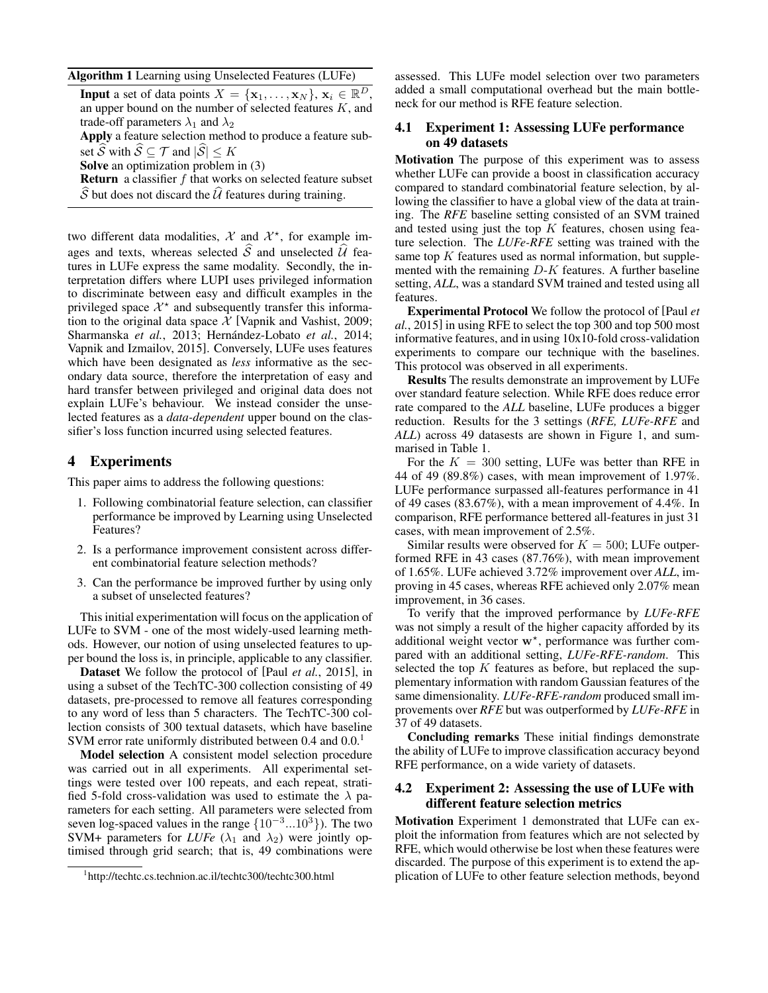#### Algorithm 1 Learning using Unselected Features (LUFe)

**Input** a set of data points  $X = {\mathbf{x}_1, ..., \mathbf{x}_N}$ ,  $\mathbf{x}_i \in \mathbb{R}^D$ , an upper bound on the number of selected features K, and trade-off parameters  $\lambda_1$  and  $\lambda_2$ Apply a feature selection method to produce a feature subset  $\widehat{S}$  with  $\widehat{S} \subseteq \mathcal{T}$  and  $|\widehat{S}| \leq K$ Solve an optimization problem in (3) **Return** a classifier  $f$  that works on selected feature subset

 $\hat{S}$  but does not discard the  $\hat{U}$  features during training.

two different data modalities,  $\mathcal{X}$  and  $\mathcal{X}^*$ , for example images and texts, whereas selected  $\hat{S}$  and unselected  $\hat{U}$  features in LUFe express the same modality. Secondly, the interpretation differs where LUPI uses privileged information to discriminate between easy and difficult examples in the privileged space  $\mathcal{X}^*$  and subsequently transfer this information to the original data space  $X$  [Vapnik and Vashist, 2009; Sharmanska et al., 2013; Hernández-Lobato et al., 2014; Vapnik and Izmailov, 2015]. Conversely, LUFe uses features which have been designated as *less* informative as the secondary data source, therefore the interpretation of easy and hard transfer between privileged and original data does not explain LUFe's behaviour. We instead consider the unselected features as a *data-dependent* upper bound on the classifier's loss function incurred using selected features.

### 4 Experiments

This paper aims to address the following questions:

- 1. Following combinatorial feature selection, can classifier performance be improved by Learning using Unselected Features?
- 2. Is a performance improvement consistent across different combinatorial feature selection methods?
- 3. Can the performance be improved further by using only a subset of unselected features?

This initial experimentation will focus on the application of LUFe to SVM - one of the most widely-used learning methods. However, our notion of using unselected features to upper bound the loss is, in principle, applicable to any classifier.

Dataset We follow the protocol of [Paul *et al.*, 2015], in using a subset of the TechTC-300 collection consisting of 49 datasets, pre-processed to remove all features corresponding to any word of less than 5 characters. The TechTC-300 collection consists of 300 textual datasets, which have baseline SVM error rate uniformly distributed between 0.4 and 0.0.<sup>1</sup>

Model selection A consistent model selection procedure was carried out in all experiments. All experimental settings were tested over 100 repeats, and each repeat, stratified 5-fold cross-validation was used to estimate the  $\lambda$  parameters for each setting. All parameters were selected from seven log-spaced values in the range  $\{10^{-3}...10^{3}\}\$ . The two SVM+ parameters for *LUFe* ( $\lambda_1$  and  $\lambda_2$ ) were jointly optimised through grid search; that is, 49 combinations were assessed. This LUFe model selection over two parameters added a small computational overhead but the main bottleneck for our method is RFE feature selection.

#### 4.1 Experiment 1: Assessing LUFe performance on 49 datasets

Motivation The purpose of this experiment was to assess whether LUFe can provide a boost in classification accuracy compared to standard combinatorial feature selection, by allowing the classifier to have a global view of the data at training. The *RFE* baseline setting consisted of an SVM trained and tested using just the top  $K$  features, chosen using feature selection. The *LUFe-RFE* setting was trained with the same top  $K$  features used as normal information, but supplemented with the remaining  $D-K$  features. A further baseline setting, *ALL*, was a standard SVM trained and tested using all features.

Experimental Protocol We follow the protocol of [Paul *et al.*, 2015] in using RFE to select the top 300 and top 500 most informative features, and in using 10x10-fold cross-validation experiments to compare our technique with the baselines. This protocol was observed in all experiments.

Results The results demonstrate an improvement by LUFe over standard feature selection. While RFE does reduce error rate compared to the *ALL* baseline, LUFe produces a bigger reduction. Results for the 3 settings (*RFE, LUFe-RFE* and *ALL*) across 49 datasests are shown in Figure 1, and summarised in Table 1.

For the  $K = 300$  setting, LUFe was better than RFE in 44 of 49 (89.8%) cases, with mean improvement of 1.97%. LUFe performance surpassed all-features performance in 41 of 49 cases (83.67%), with a mean improvement of 4.4%. In comparison, RFE performance bettered all-features in just 31 cases, with mean improvement of 2.5%.

Similar results were observed for  $K = 500$ ; LUFe outperformed RFE in 43 cases (87.76%), with mean improvement of 1.65%. LUFe achieved 3.72% improvement over *ALL*, improving in 45 cases, whereas RFE achieved only 2.07% mean improvement, in 36 cases.

To verify that the improved performance by *LUFe-RFE* was not simply a result of the higher capacity afforded by its additional weight vector  $w^*$ , performance was further compared with an additional setting, *LUFe-RFE-random*. This selected the top  $K$  features as before, but replaced the supplementary information with random Gaussian features of the same dimensionality. *LUFe-RFE-random* produced small improvements over *RFE* but was outperformed by *LUFe-RFE* in 37 of 49 datasets.

Concluding remarks These initial findings demonstrate the ability of LUFe to improve classification accuracy beyond RFE performance, on a wide variety of datasets.

#### 4.2 Experiment 2: Assessing the use of LUFe with different feature selection metrics

Motivation Experiment 1 demonstrated that LUFe can exploit the information from features which are not selected by RFE, which would otherwise be lost when these features were discarded. The purpose of this experiment is to extend the application of LUFe to other feature selection methods, beyond

<sup>1</sup> http://techtc.cs.technion.ac.il/techtc300/techtc300.html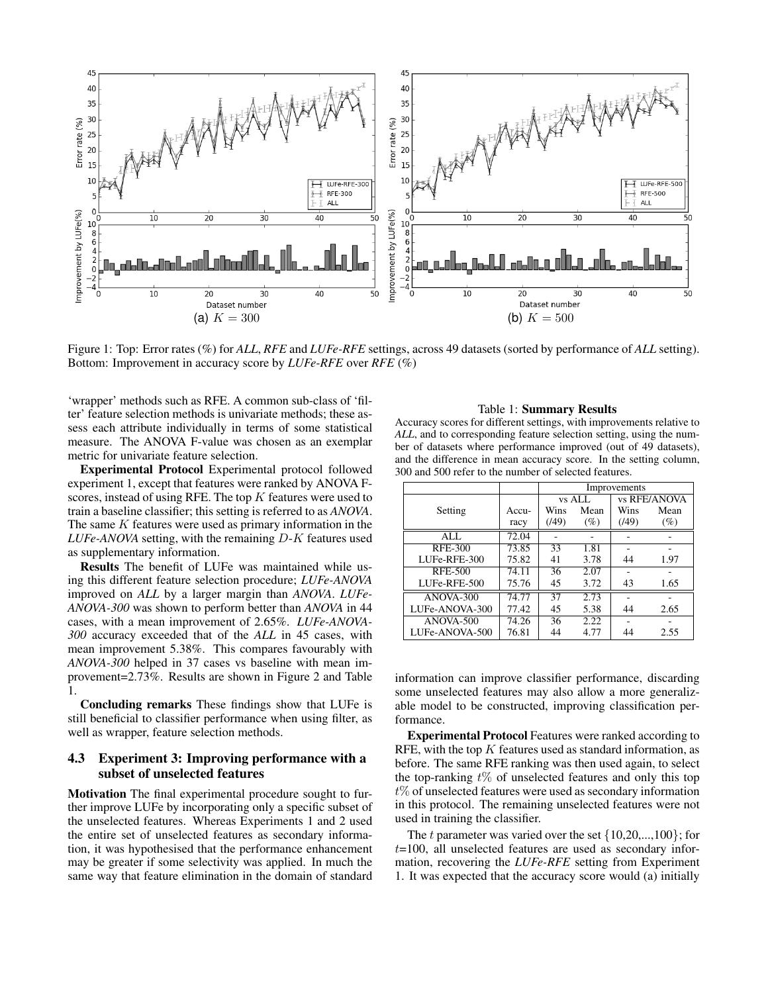

Figure 1: Top: Error rates (%) for *ALL*, *RFE* and *LUFe-RFE* settings, across 49 datasets (sorted by performance of *ALL* setting). Bottom: Improvement in accuracy score by *LUFe-RFE* over *RFE* (%)

'wrapper' methods such as RFE. A common sub-class of 'filter' feature selection methods is univariate methods; these assess each attribute individually in terms of some statistical measure. The ANOVA F-value was chosen as an exemplar metric for univariate feature selection.

Experimental Protocol Experimental protocol followed experiment 1, except that features were ranked by ANOVA Fscores, instead of using RFE. The top  $K$  features were used to train a baseline classifier; this setting is referred to as *ANOVA*. The same K features were used as primary information in the *LUFe-ANOVA* setting, with the remaining D-K features used as supplementary information.

Results The benefit of LUFe was maintained while using this different feature selection procedure; *LUFe-ANOVA* improved on *ALL* by a larger margin than *ANOVA*. *LUFe-ANOVA-300* was shown to perform better than *ANOVA* in 44 cases, with a mean improvement of 2.65%. *LUFe-ANOVA-300* accuracy exceeded that of the *ALL* in 45 cases, with mean improvement 5.38%. This compares favourably with *ANOVA-300* helped in 37 cases vs baseline with mean improvement=2.73%. Results are shown in Figure 2 and Table 1.

Concluding remarks These findings show that LUFe is still beneficial to classifier performance when using filter, as well as wrapper, feature selection methods.

#### 4.3 Experiment 3: Improving performance with a subset of unselected features

Motivation The final experimental procedure sought to further improve LUFe by incorporating only a specific subset of the unselected features. Whereas Experiments 1 and 2 used the entire set of unselected features as secondary information, it was hypothesised that the performance enhancement may be greater if some selectivity was applied. In much the same way that feature elimination in the domain of standard

#### Table 1: Summary Results

Accuracy scores for different settings, with improvements relative to *ALL*, and to corresponding feature selection setting, using the number of datasets where performance improved (out of 49 datasets), and the difference in mean accuracy score. In the setting column, 300 and 500 refer to the number of selected features.

|                |       | Improvements |        |              |        |
|----------------|-------|--------------|--------|--------------|--------|
|                |       | vs ALL       |        | vs RFE/ANOVA |        |
| Setting        | Accu- | Wins         | Mean   | Wins         | Mean   |
|                | racy  | (149)        | $(\%)$ | (149)        | $(\%)$ |
| AI.            | 72.04 |              |        |              |        |
| <b>RFE-300</b> | 73.85 | 33           | 1.81   |              |        |
| LUFe-RFE-300   | 75.82 | 41           | 3.78   | 44           | 1.97   |
| <b>RFE-500</b> | 74.11 | 36           | 2.07   |              |        |
| LUFe-RFE-500   | 75.76 | 45           | 3.72   | 43           | 1.65   |
| ANOVA-300      | 74.77 | 37           | 2.73   |              |        |
| LUFe-ANOVA-300 | 77.42 | 45           | 5.38   | 44           | 2.65   |
| $ANOVA-500$    | 74.26 | 36           | 2.22   |              |        |
| LUFe-ANOVA-500 | 76.81 | 44           | 4.77   | 44           | 2.55   |

information can improve classifier performance, discarding some unselected features may also allow a more generalizable model to be constructed, improving classification performance.

Experimental Protocol Features were ranked according to RFE, with the top  $K$  features used as standard information, as before. The same RFE ranking was then used again, to select the top-ranking  $t\%$  of unselected features and only this top t% of unselected features were used as secondary information in this protocol. The remaining unselected features were not used in training the classifier.

The t parameter was varied over the set  $\{10,20,...,100\}$ ; for t=100, all unselected features are used as secondary information, recovering the *LUFe-RFE* setting from Experiment 1. It was expected that the accuracy score would (a) initially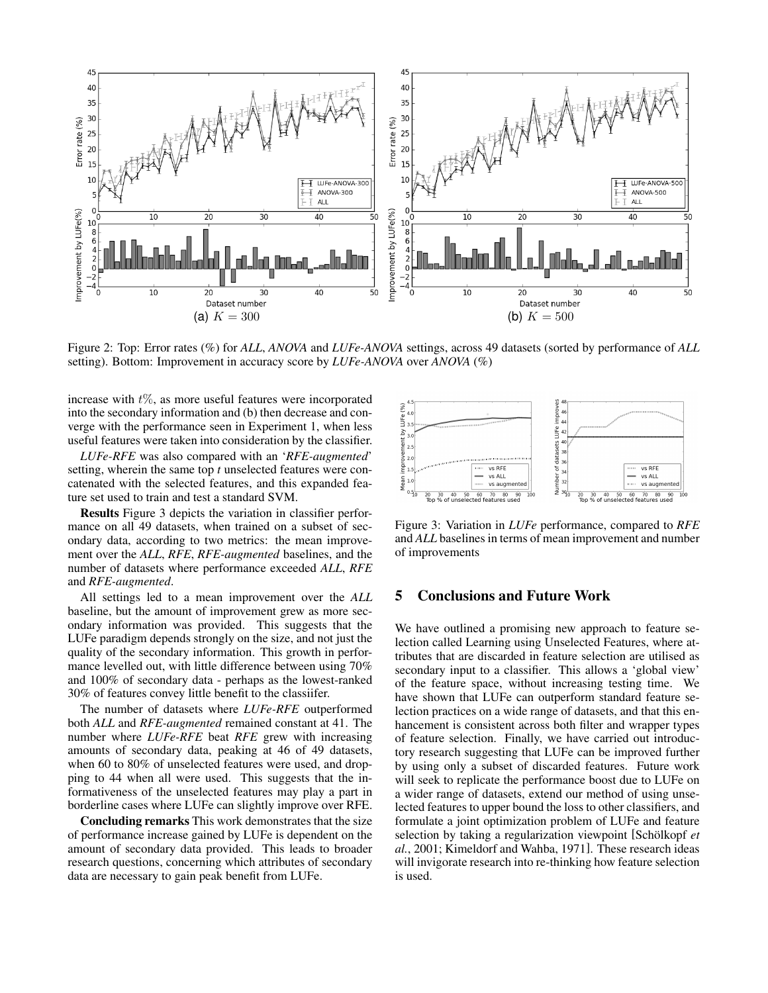

Figure 2: Top: Error rates (%) for *ALL*, *ANOVA* and *LUFe-ANOVA* settings, across 49 datasets (sorted by performance of *ALL* setting). Bottom: Improvement in accuracy score by *LUFe-ANOVA* over *ANOVA* (%)

increase with  $t\%$ , as more useful features were incorporated into the secondary information and (b) then decrease and converge with the performance seen in Experiment 1, when less useful features were taken into consideration by the classifier.

*LUFe-RFE* was also compared with an '*RFE-augmented*' setting, wherein the same top *t* unselected features were concatenated with the selected features, and this expanded feature set used to train and test a standard SVM.

Results Figure 3 depicts the variation in classifier performance on all 49 datasets, when trained on a subset of secondary data, according to two metrics: the mean improvement over the *ALL*, *RFE*, *RFE-augmented* baselines, and the number of datasets where performance exceeded *ALL*, *RFE* and *RFE-augmented*.

All settings led to a mean improvement over the *ALL* baseline, but the amount of improvement grew as more secondary information was provided. This suggests that the LUFe paradigm depends strongly on the size, and not just the quality of the secondary information. This growth in performance levelled out, with little difference between using 70% and 100% of secondary data - perhaps as the lowest-ranked 30% of features convey little benefit to the classiifer.

The number of datasets where *LUFe-RFE* outperformed both *ALL* and *RFE-augmented* remained constant at 41. The number where *LUFe-RFE* beat *RFE* grew with increasing amounts of secondary data, peaking at 46 of 49 datasets, when 60 to 80% of unselected features were used, and dropping to 44 when all were used. This suggests that the informativeness of the unselected features may play a part in borderline cases where LUFe can slightly improve over RFE.

Concluding remarks This work demonstrates that the size of performance increase gained by LUFe is dependent on the amount of secondary data provided. This leads to broader research questions, concerning which attributes of secondary data are necessary to gain peak benefit from LUFe.



Figure 3: Variation in *LUFe* performance, compared to *RFE* and *ALL* baselines in terms of mean improvement and number of improvements

## 5 Conclusions and Future Work

We have outlined a promising new approach to feature selection called Learning using Unselected Features, where attributes that are discarded in feature selection are utilised as secondary input to a classifier. This allows a 'global view' of the feature space, without increasing testing time. We have shown that LUFe can outperform standard feature selection practices on a wide range of datasets, and that this enhancement is consistent across both filter and wrapper types of feature selection. Finally, we have carried out introductory research suggesting that LUFe can be improved further by using only a subset of discarded features. Future work will seek to replicate the performance boost due to LUFe on a wider range of datasets, extend our method of using unselected features to upper bound the loss to other classifiers, and formulate a joint optimization problem of LUFe and feature selection by taking a regularization viewpoint [Schölkopf et *al.*, 2001; Kimeldorf and Wahba, 1971]. These research ideas will invigorate research into re-thinking how feature selection is used.